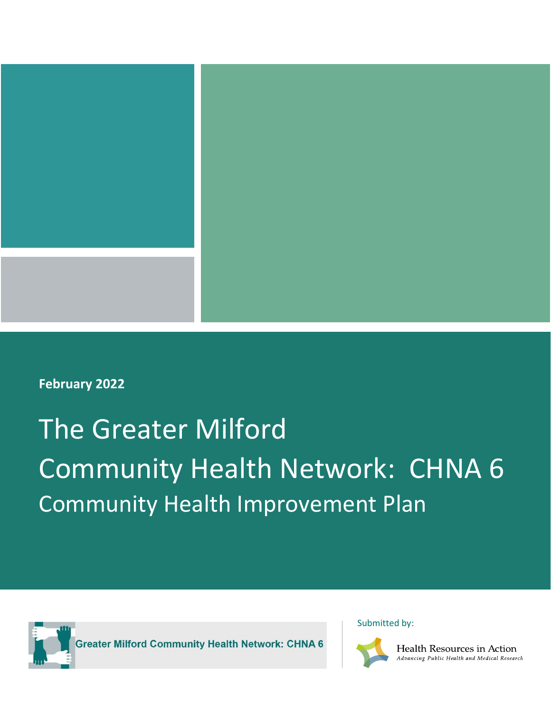

# **February 2022**

# The Greater Milford Community Health Network: CHNA 6 Community Health Improvement Plan



**Greater Milford Community Health Network: CHNA 6** 

Submitted by:



Health Resources in Action **Advancing Public Health and Medical Research**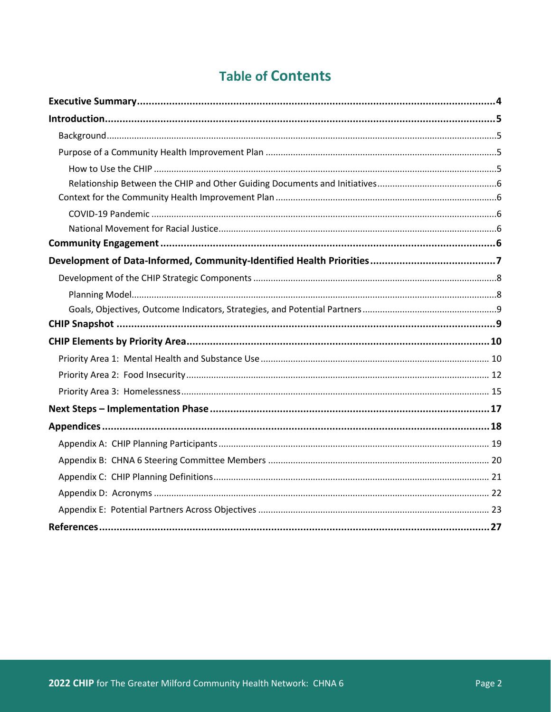# **Table of Contents**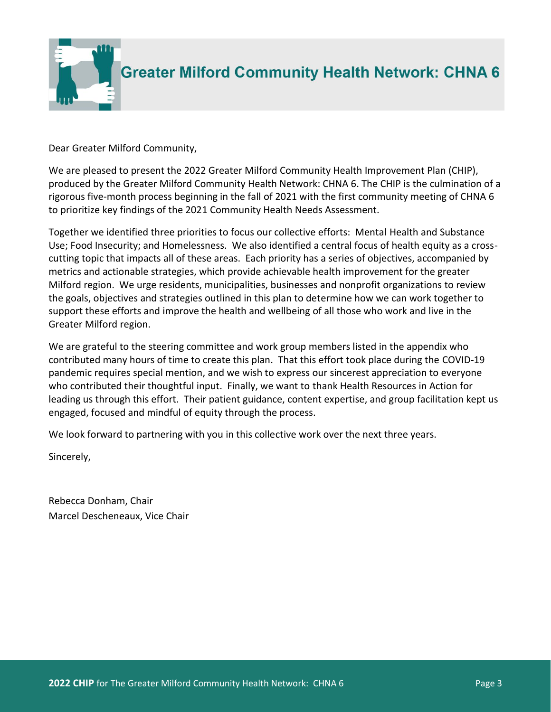

Dear Greater Milford Community,

We are pleased to present the 2022 Greater Milford Community Health Improvement Plan (CHIP), produced by the Greater Milford Community Health Network: CHNA 6. The CHIP is the culmination of a rigorous five-month process beginning in the fall of 2021 with the first community meeting of CHNA 6 to prioritize key findings of the 2021 Community Health Needs Assessment.

Together we identified three priorities to focus our collective efforts: Mental Health and Substance Use; Food Insecurity; and Homelessness. We also identified a central focus of health equity as a crosscutting topic that impacts all of these areas. Each priority has a series of objectives, accompanied by metrics and actionable strategies, which provide achievable health improvement for the greater Milford region. We urge residents, municipalities, businesses and nonprofit organizations to review the goals, objectives and strategies outlined in this plan to determine how we can work together to support these efforts and improve the health and wellbeing of all those who work and live in the Greater Milford region.

We are grateful to the steering committee and work group members listed in the appendix who contributed many hours of time to create this plan. That this effort took place during the COVID-19 pandemic requires special mention, and we wish to express our sincerest appreciation to everyone who contributed their thoughtful input. Finally, we want to thank Health Resources in Action for leading us through this effort. Their patient guidance, content expertise, and group facilitation kept us engaged, focused and mindful of equity through the process.

We look forward to partnering with you in this collective work over the next three years.

Sincerely,

Rebecca Donham, Chair Marcel Descheneaux, Vice Chair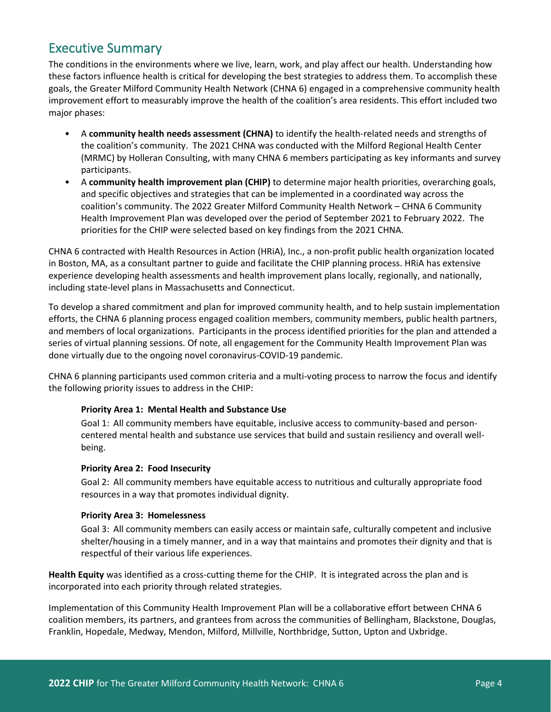# <span id="page-3-0"></span>Executive Summary

The conditions in the environments where we live, learn, work, and play affect our health. Understanding how these factors influence health is critical for developing the best strategies to address them. To accomplish these goals, the Greater Milford Community Health Network (CHNA 6) engaged in a comprehensive community health improvement effort to measurably improve the health of the coalition's area residents. This effort included two major phases:

- A **community health needs assessment (CHNA)** to identify the health-related needs and strengths of the coalition's community. The 2021 CHNA was conducted with the Milford Regional Health Center (MRMC) by Holleran Consulting, with many CHNA 6 members participating as key informants and survey participants.
- A **community health improvement plan (CHIP)** to determine major health priorities, overarching goals, and specific objectives and strategies that can be implemented in a coordinated way across the coalition's community. The 2022 Greater Milford Community Health Network – CHNA 6 Community Health Improvement Plan was developed over the period of September 2021 to February 2022. The priorities for the CHIP were selected based on key findings from the 2021 CHNA.

CHNA 6 contracted with Health Resources in Action (HRiA), Inc., a non-profit public health organization located in Boston, MA, as a consultant partner to guide and facilitate the CHIP planning process. HRiA has extensive experience developing health assessments and health improvement plans locally, regionally, and nationally, including state-level plans in Massachusetts and Connecticut.

To develop a shared commitment and plan for improved community health, and to help sustain implementation efforts, the CHNA 6 planning process engaged coalition members, community members, public health partners, and members of local organizations. Participants in the process identified priorities for the plan and attended a series of virtual planning sessions. Of note, all engagement for the Community Health Improvement Plan was done virtually due to the ongoing novel coronavirus-COVID-19 pandemic.

CHNA 6 planning participants used common criteria and a multi-voting process to narrow the focus and identify the following priority issues to address in the CHIP:

#### **Priority Area 1: Mental Health and Substance Use**

Goal 1: All community members have equitable, inclusive access to community-based and personcentered mental health and substance use services that build and sustain resiliency and overall wellbeing.

#### **Priority Area 2: Food Insecurity**

Goal 2: All community members have equitable access to nutritious and culturally appropriate food resources in a way that promotes individual dignity.

#### **Priority Area 3: Homelessness**

Goal 3: All community members can easily access or maintain safe, culturally competent and inclusive shelter/housing in a timely manner, and in a way that maintains and promotes their dignity and that is respectful of their various life experiences.

**Health Equity** was identified as a cross-cutting theme for the CHIP. It is integrated across the plan and is incorporated into each priority through related strategies.

Implementation of this Community Health Improvement Plan will be a collaborative effort between CHNA 6 coalition members, its partners, and grantees from across the communities of Bellingham, Blackstone, Douglas, Franklin, Hopedale, Medway, Mendon, Milford, Millville, Northbridge, Sutton, Upton and Uxbridge.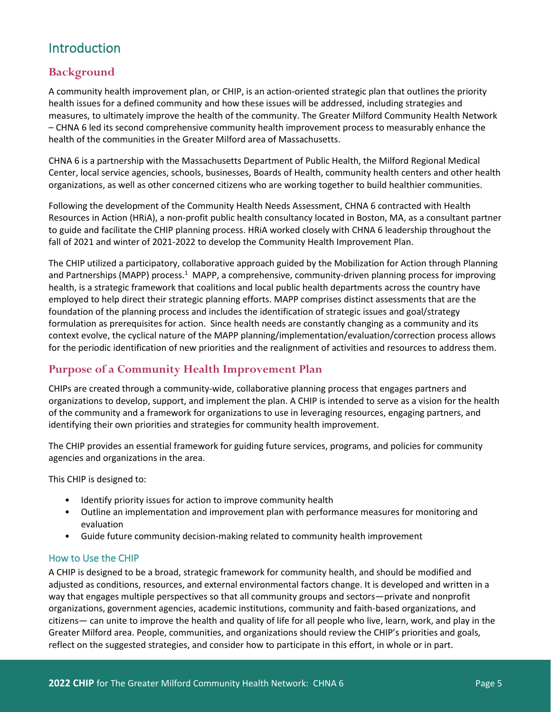# <span id="page-4-0"></span>Introduction

# <span id="page-4-1"></span>**Background**

A community health improvement plan, or CHIP, is an action-oriented strategic plan that outlines the priority health issues for a defined community and how these issues will be addressed, including strategies and measures, to ultimately improve the health of the community. The Greater Milford Community Health Network – CHNA 6 led its second comprehensive community health improvement process to measurably enhance the health of the communities in the Greater Milford area of Massachusetts.

CHNA 6 is a partnership with the Massachusetts Department of Public Health, the Milford Regional Medical Center, local service agencies, schools, businesses, Boards of Health, community health centers and other health organizations, as well as other concerned citizens who are working together to build healthier communities.

Following the development of the Community Health Needs Assessment, CHNA 6 contracted with Health Resources in Action (HRiA), a non-profit public health consultancy located in Boston, MA, as a consultant partner to guide and facilitate the CHIP planning process. HRiA worked closely with CHNA 6 leadership throughout the fall of 2021 and winter of 2021-2022 to develop the Community Health Improvement Plan.

The CHIP utilized a participatory, collaborative approach guided by the Mobilization for Action through Planning and Partnerships (MAPP) process.<sup>1</sup> MAPP, a comprehensive, community-driven planning process for improving health, is a strategic framework that coalitions and local public health departments across the country have employed to help direct their strategic planning efforts. MAPP comprises distinct assessments that are the foundation of the planning process and includes the identification of strategic issues and goal/strategy formulation as prerequisites for action. Since health needs are constantly changing as a community and its context evolve, the cyclical nature of the MAPP planning/implementation/evaluation/correction process allows for the periodic identification of new priorities and the realignment of activities and resources to address them.

# <span id="page-4-2"></span>**Purpose of a Community Health Improvement Plan**

CHIPs are created through a community-wide, collaborative planning process that engages partners and organizations to develop, support, and implement the plan. A CHIP is intended to serve as a vision for the health of the community and a framework for organizations to use in leveraging resources, engaging partners, and identifying their own priorities and strategies for community health improvement.

The CHIP provides an essential framework for guiding future services, programs, and policies for community agencies and organizations in the area.

This CHIP is designed to:

- Identify priority issues for action to improve community health
- Outline an implementation and improvement plan with performance measures for monitoring and evaluation
- Guide future community decision-making related to community health improvement

### <span id="page-4-3"></span>How to Use the CHIP

A CHIP is designed to be a broad, strategic framework for community health, and should be modified and adjusted as conditions, resources, and external environmental factors change. It is developed and written in a way that engages multiple perspectives so that all community groups and sectors—private and nonprofit organizations, government agencies, academic institutions, community and faith-based organizations, and citizens— can unite to improve the health and quality of life for all people who live, learn, work, and play in the Greater Milford area. People, communities, and organizations should review the CHIP's priorities and goals, reflect on the suggested strategies, and consider how to participate in this effort, in whole or in part.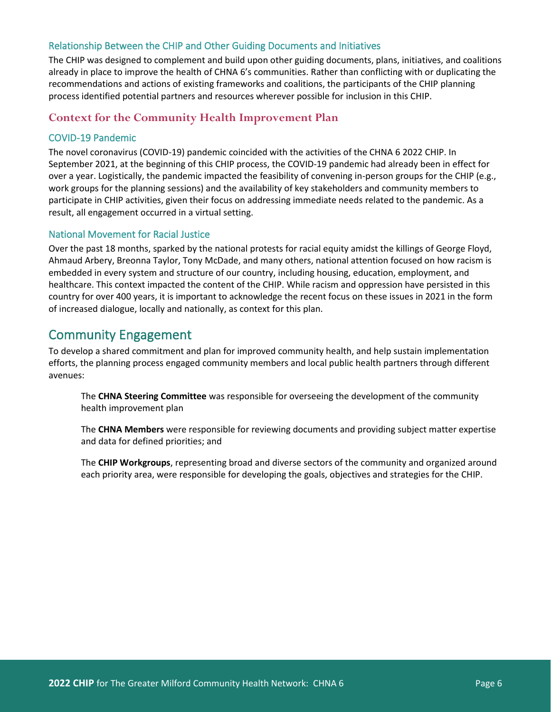#### <span id="page-5-0"></span>Relationship Between the CHIP and Other Guiding Documents and Initiatives

The CHIP was designed to complement and build upon other guiding documents, plans, initiatives, and coalitions already in place to improve the health of CHNA 6's communities. Rather than conflicting with or duplicating the recommendations and actions of existing frameworks and coalitions, the participants of the CHIP planning process identified potential partners and resources wherever possible for inclusion in this CHIP.

### <span id="page-5-1"></span>**Context for the Community Health Improvement Plan**

#### <span id="page-5-2"></span>COVID-19 Pandemic

The novel coronavirus (COVID-19) pandemic coincided with the activities of the CHNA 6 2022 CHIP. In September 2021, at the beginning of this CHIP process, the COVID-19 pandemic had already been in effect for over a year. Logistically, the pandemic impacted the feasibility of convening in-person groups for the CHIP (e.g., work groups for the planning sessions) and the availability of key stakeholders and community members to participate in CHIP activities, given their focus on addressing immediate needs related to the pandemic. As a result, all engagement occurred in a virtual setting.

#### <span id="page-5-3"></span>National Movement for Racial Justice

Over the past 18 months, sparked by the national protests for racial equity amidst the killings of George Floyd, Ahmaud Arbery, Breonna Taylor, Tony McDade, and many others, national attention focused on how racism is embedded in every system and structure of our country, including housing, education, employment, and healthcare. This context impacted the content of the CHIP. While racism and oppression have persisted in this country for over 400 years, it is important to acknowledge the recent focus on these issues in 2021 in the form of increased dialogue, locally and nationally, as context for this plan.

# <span id="page-5-4"></span>Community Engagement

To develop a shared commitment and plan for improved community health, and help sustain implementation efforts, the planning process engaged community members and local public health partners through different avenues:

The **CHNA Steering Committee** was responsible for overseeing the development of the community health improvement plan

The **CHNA Members** were responsible for reviewing documents and providing subject matter expertise and data for defined priorities; and

The **CHIP Workgroups**, representing broad and diverse sectors of the community and organized around each priority area, were responsible for developing the goals, objectives and strategies for the CHIP.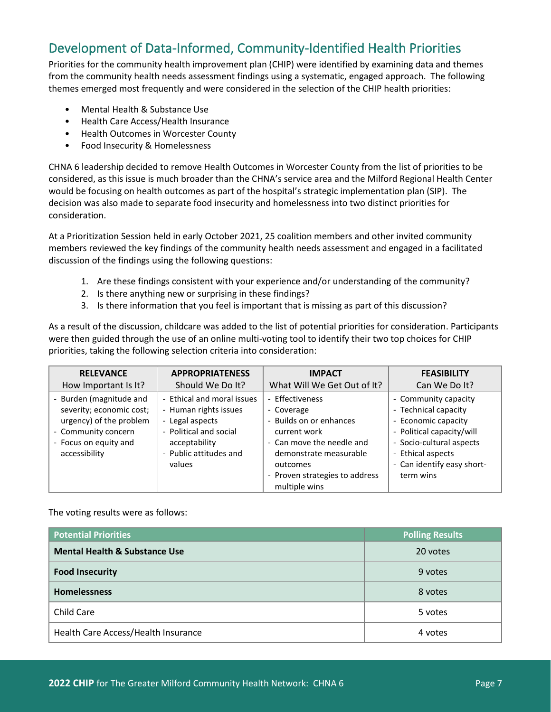# <span id="page-6-0"></span>Development of Data-Informed, Community-Identified Health Priorities

Priorities for the community health improvement plan (CHIP) were identified by examining data and themes from the community health needs assessment findings using a systematic, engaged approach. The following themes emerged most frequently and were considered in the selection of the CHIP health priorities:

- Mental Health & Substance Use
- Health Care Access/Health Insurance
- Health Outcomes in Worcester County
- Food Insecurity & Homelessness

CHNA 6 leadership decided to remove Health Outcomes in Worcester County from the list of priorities to be considered, as this issue is much broader than the CHNA's service area and the Milford Regional Health Center would be focusing on health outcomes as part of the hospital's strategic implementation plan (SIP). The decision was also made to separate food insecurity and homelessness into two distinct priorities for consideration.

At a Prioritization Session held in early October 2021, 25 coalition members and other invited community members reviewed the key findings of the community health needs assessment and engaged in a facilitated discussion of the findings using the following questions:

- 1. Are these findings consistent with your experience and/or understanding of the community?
- 2. Is there anything new or surprising in these findings?
- 3. Is there information that you feel is important that is missing as part of this discussion?

As a result of the discussion, childcare was added to the list of potential priorities for consideration. Participants were then guided through the use of an online multi-voting tool to identify their two top choices for CHIP priorities, taking the following selection criteria into consideration:

| <b>RELEVANCE</b>         | <b>APPROPRIATENESS</b>     | <b>IMPACT</b>                  | <b>FEASIBILITY</b>         |
|--------------------------|----------------------------|--------------------------------|----------------------------|
| How Important Is It?     | Should We Do It?           | What Will We Get Out of It?    | Can We Do It?              |
| - Burden (magnitude and  | - Ethical and moral issues | - Effectiveness                | - Community capacity       |
| severity; economic cost; | - Human rights issues      | - Coverage                     | - Technical capacity       |
| urgency) of the problem  | - Legal aspects            | - Builds on or enhances        | - Economic capacity        |
| - Community concern      | - Political and social     | current work                   | - Political capacity/will  |
| - Focus on equity and    | acceptability              | - Can move the needle and      | - Socio-cultural aspects   |
| accessibility            | - Public attitudes and     | demonstrate measurable         | - Ethical aspects          |
|                          | values                     | outcomes                       | - Can identify easy short- |
|                          |                            | - Proven strategies to address | term wins                  |
|                          |                            | multiple wins                  |                            |

The voting results were as follows:

| <b>Potential Priorities</b>              | <b>Polling Results</b> |
|------------------------------------------|------------------------|
| <b>Mental Health &amp; Substance Use</b> | 20 votes               |
| <b>Food Insecurity</b>                   | 9 votes                |
| <b>Homelessness</b>                      | 8 votes                |
| Child Care                               | 5 votes                |
| Health Care Access/Health Insurance      | 4 votes                |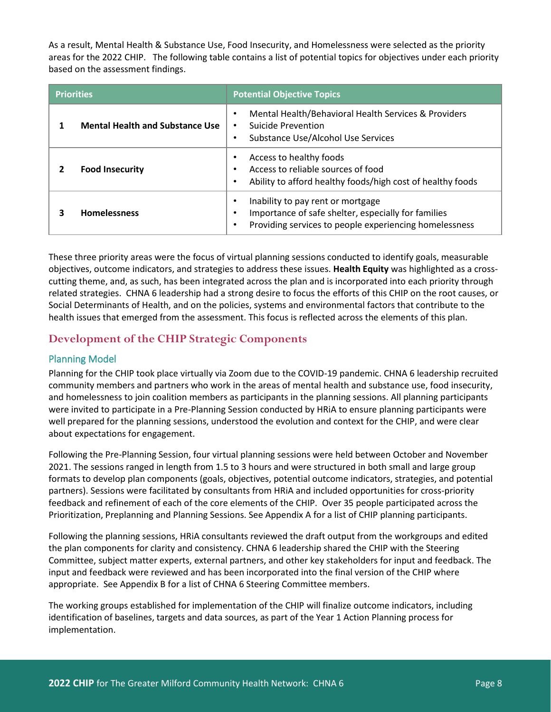As a result, Mental Health & Substance Use, Food Insecurity, and Homelessness were selected as the priority areas for the 2022 CHIP. The following table contains a list of potential topics for objectives under each priority based on the assessment findings.

| <b>Priorities</b>                      | <b>Potential Objective Topics</b>                                                                                                                  |  |  |  |  |  |  |  |  |
|----------------------------------------|----------------------------------------------------------------------------------------------------------------------------------------------------|--|--|--|--|--|--|--|--|
| <b>Mental Health and Substance Use</b> | Mental Health/Behavioral Health Services & Providers<br>Suicide Prevention<br>Substance Use/Alcohol Use Services                                   |  |  |  |  |  |  |  |  |
| <b>Food Insecurity</b>                 | Access to healthy foods<br>Access to reliable sources of food<br>Ability to afford healthy foods/high cost of healthy foods                        |  |  |  |  |  |  |  |  |
| <b>Homelessness</b>                    | Inability to pay rent or mortgage<br>Importance of safe shelter, especially for families<br>Providing services to people experiencing homelessness |  |  |  |  |  |  |  |  |

These three priority areas were the focus of virtual planning sessions conducted to identify goals, measurable objectives, outcome indicators, and strategies to address these issues. **Health Equity** was highlighted as a crosscutting theme, and, as such, has been integrated across the plan and is incorporated into each priority through related strategies. CHNA 6 leadership had a strong desire to focus the efforts of this CHIP on the root causes, or Social Determinants of Health, and on the policies, systems and environmental factors that contribute to the health issues that emerged from the assessment. This focus is reflected across the elements of this plan.

# <span id="page-7-0"></span>**Development of the CHIP Strategic Components**

### <span id="page-7-1"></span>Planning Model

Planning for the CHIP took place virtually via Zoom due to the COVID-19 pandemic. CHNA 6 leadership recruited community members and partners who work in the areas of mental health and substance use, food insecurity, and homelessness to join coalition members as participants in the planning sessions. All planning participants were invited to participate in a Pre-Planning Session conducted by HRiA to ensure planning participants were well prepared for the planning sessions, understood the evolution and context for the CHIP, and were clear about expectations for engagement.

Following the Pre-Planning Session, four virtual planning sessions were held between October and November 2021. The sessions ranged in length from 1.5 to 3 hours and were structured in both small and large group formats to develop plan components (goals, objectives, potential outcome indicators, strategies, and potential partners). Sessions were facilitated by consultants from HRiA and included opportunities for cross-priority feedback and refinement of each of the core elements of the CHIP. Over 35 people participated across the Prioritization, Preplanning and Planning Sessions. See Appendix A for a list of CHIP planning participants.

Following the planning sessions, HRiA consultants reviewed the draft output from the workgroups and edited the plan components for clarity and consistency. CHNA 6 leadership shared the CHIP with the Steering Committee, subject matter experts, external partners, and other key stakeholders for input and feedback. The input and feedback were reviewed and has been incorporated into the final version of the CHIP where appropriate. See Appendix B for a list of CHNA 6 Steering Committee members.

The working groups established for implementation of the CHIP will finalize outcome indicators, including identification of baselines, targets and data sources, as part of the Year 1 Action Planning process for implementation.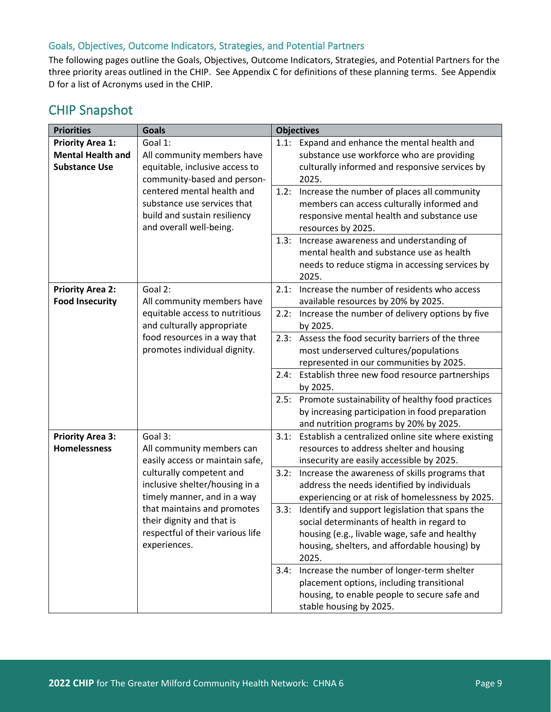### <span id="page-8-0"></span>Goals, Objectives, Outcome Indicators, Strategies, and Potential Partners

The following pages outline the Goals, Objectives, Outcome Indicators, Strategies, and Potential Partners for the three priority areas outlined in the CHIP. See Appendix C for definitions of these planning terms. See Appendix D for a list of Acronyms used in the CHIP.

| <b>Priorities</b>                                                           | <b>Goals</b>                                                                                                                                                                                                                   | <b>Objectives</b>                                                                                                                                                                                                                                                                                                           |
|-----------------------------------------------------------------------------|--------------------------------------------------------------------------------------------------------------------------------------------------------------------------------------------------------------------------------|-----------------------------------------------------------------------------------------------------------------------------------------------------------------------------------------------------------------------------------------------------------------------------------------------------------------------------|
| <b>Priority Area 1:</b><br><b>Mental Health and</b><br><b>Substance Use</b> | Goal 1:<br>All community members have<br>equitable, inclusive access to<br>community-based and person-<br>centered mental health and<br>substance use services that<br>build and sustain resiliency<br>and overall well-being. | 1.1: Expand and enhance the mental health and<br>substance use workforce who are providing<br>culturally informed and responsive services by<br>2025.<br>1.2: Increase the number of places all community<br>members can access culturally informed and<br>responsive mental health and substance use<br>resources by 2025. |
|                                                                             |                                                                                                                                                                                                                                | 1.3: Increase awareness and understanding of<br>mental health and substance use as health<br>needs to reduce stigma in accessing services by<br>2025.                                                                                                                                                                       |
| <b>Priority Area 2:</b><br><b>Food Insecurity</b>                           | Goal 2:<br>All community members have                                                                                                                                                                                          | 2.1: Increase the number of residents who access<br>available resources by 20% by 2025.                                                                                                                                                                                                                                     |
|                                                                             | equitable access to nutritious<br>and culturally appropriate                                                                                                                                                                   | Increase the number of delivery options by five<br>2.2:<br>by 2025.                                                                                                                                                                                                                                                         |
|                                                                             | food resources in a way that<br>promotes individual dignity.                                                                                                                                                                   | 2.3: Assess the food security barriers of the three<br>most underserved cultures/populations<br>represented in our communities by 2025.                                                                                                                                                                                     |
|                                                                             |                                                                                                                                                                                                                                | 2.4: Establish three new food resource partnerships<br>by 2025.                                                                                                                                                                                                                                                             |
|                                                                             |                                                                                                                                                                                                                                | 2.5: Promote sustainability of healthy food practices<br>by increasing participation in food preparation<br>and nutrition programs by 20% by 2025.                                                                                                                                                                          |
| <b>Priority Area 3:</b><br><b>Homelessness</b>                              | Goal 3:<br>All community members can<br>easily access or maintain safe,                                                                                                                                                        | Establish a centralized online site where existing<br>3.1:<br>resources to address shelter and housing<br>insecurity are easily accessible by 2025.                                                                                                                                                                         |
|                                                                             | culturally competent and<br>inclusive shelter/housing in a<br>timely manner, and in a way                                                                                                                                      | 3.2: Increase the awareness of skills programs that<br>address the needs identified by individuals<br>experiencing or at risk of homelessness by 2025.                                                                                                                                                                      |
|                                                                             | that maintains and promotes<br>their dignity and that is<br>respectful of their various life<br>experiences.                                                                                                                   | 3.3: Identify and support legislation that spans the<br>social determinants of health in regard to<br>housing (e.g., livable wage, safe and healthy<br>housing, shelters, and affordable housing) by<br>2025.                                                                                                               |
|                                                                             |                                                                                                                                                                                                                                | Increase the number of longer-term shelter<br>3.4:<br>placement options, including transitional<br>housing, to enable people to secure safe and                                                                                                                                                                             |

stable housing by 2025.

# <span id="page-8-1"></span>CHIP Snapshot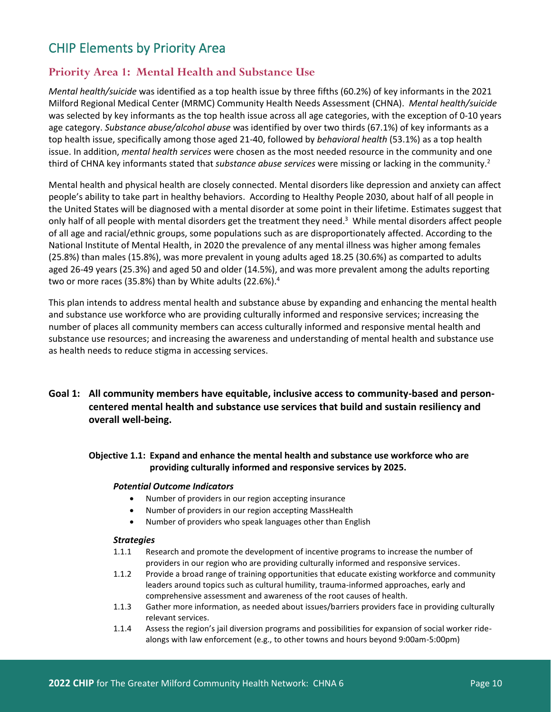# <span id="page-9-0"></span>CHIP Elements by Priority Area

# <span id="page-9-1"></span>**Priority Area 1: Mental Health and Substance Use**

*Mental health/suicide* was identified as a top health issue by three fifths (60.2%) of key informants in the 2021 Milford Regional Medical Center (MRMC) Community Health Needs Assessment (CHNA). *Mental health/suicide* was selected by key informants as the top health issue across all age categories, with the exception of 0-10 years age category. *Substance abuse/alcohol abuse* was identified by over two thirds (67.1%) of key informants as a top health issue, specifically among those aged 21-40, followed by *behavioral health* (53.1%) as a top health issue. In addition, *mental health services* were chosen as the most needed resource in the community and one third of CHNA key informants stated that *substance abuse services* were missing or lacking in the community.<sup>2</sup>

Mental health and physical health are closely connected. Mental disorders like depression and anxiety can affect people's ability to take part in healthy behaviors. According to Healthy People 2030, about half of all people in the United States will be diagnosed with a mental disorder at some point in their lifetime. Estimates suggest that only half of all people with mental disorders get the treatment they need.<sup>3</sup> While mental disorders affect people of all age and racial/ethnic groups, some populations such as are disproportionately affected. According to the National Institute of Mental Health, in 2020 the prevalence of any mental illness was higher among females (25.8%) than males (15.8%), was more prevalent in young adults aged 18.25 (30.6%) as comparted to adults aged 26-49 years (25.3%) and aged 50 and older (14.5%), and was more prevalent among the adults reporting two or more races (35.8%) than by White adults (22.6%). 4

This plan intends to address mental health and substance abuse by expanding and enhancing the mental health and substance use workforce who are providing culturally informed and responsive services; increasing the number of places all community members can access culturally informed and responsive mental health and substance use resources; and increasing the awareness and understanding of mental health and substance use as health needs to reduce stigma in accessing services.

### **Goal 1: All community members have equitable, inclusive access to community-based and personcentered mental health and substance use services that build and sustain resiliency and overall well-being.**

### **Objective 1.1: Expand and enhance the mental health and substance use workforce who are providing culturally informed and responsive services by 2025.**

#### *Potential Outcome Indicators*

- Number of providers in our region accepting insurance
- Number of providers in our region accepting MassHealth
- Number of providers who speak languages other than English

- 1.1.1 Research and promote the development of incentive programs to increase the number of providers in our region who are providing culturally informed and responsive services.
- 1.1.2 Provide a broad range of training opportunities that educate existing workforce and community leaders around topics such as cultural humility, trauma-informed approaches, early and comprehensive assessment and awareness of the root causes of health.
- 1.1.3 Gather more information, as needed about issues/barriers providers face in providing culturally relevant services.
- 1.1.4 Assess the region's jail diversion programs and possibilities for expansion of social worker ridealongs with law enforcement (e.g., to other towns and hours beyond 9:00am-5:00pm)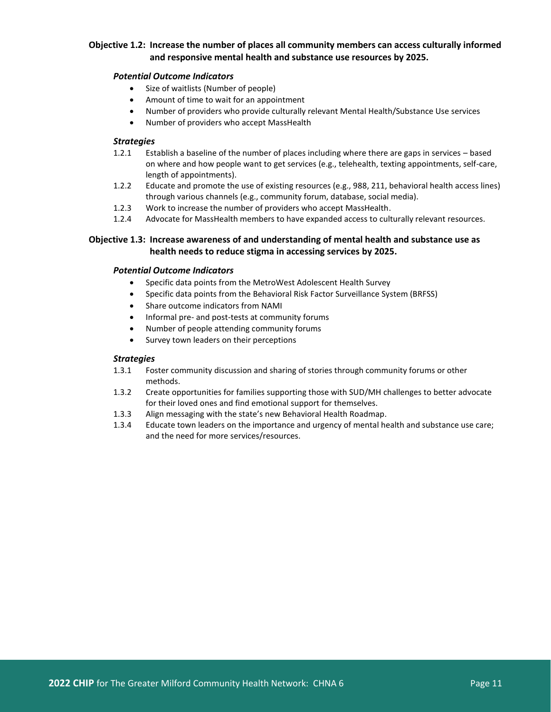#### **Objective 1.2: Increase the number of places all community members can access culturally informed and responsive mental health and substance use resources by 2025.**

#### *Potential Outcome Indicators*

- Size of waitlists (Number of people)
- Amount of time to wait for an appointment
- Number of providers who provide culturally relevant Mental Health/Substance Use services
- Number of providers who accept MassHealth

#### *Strategies*

- 1.2.1 Establish a baseline of the number of places including where there are gaps in services based on where and how people want to get services (e.g., telehealth, texting appointments, self-care, length of appointments).
- 1.2.2 Educate and promote the use of existing resources (e.g., 988, 211, behavioral health access lines) through various channels (e.g., community forum, database, social media).
- 1.2.3 Work to increase the number of providers who accept MassHealth.
- 1.2.4 Advocate for MassHealth members to have expanded access to culturally relevant resources.

#### **Objective 1.3: Increase awareness of and understanding of mental health and substance use as health needs to reduce stigma in accessing services by 2025.**

#### *Potential Outcome Indicators*

- Specific data points from the MetroWest Adolescent Health Survey
- Specific data points from the Behavioral Risk Factor Surveillance System (BRFSS)
- Share outcome indicators from NAMI
- Informal pre- and post-tests at community forums
- Number of people attending community forums
- Survey town leaders on their perceptions

- 1.3.1 Foster community discussion and sharing of stories through community forums or other methods.
- 1.3.2 Create opportunities for families supporting those with SUD/MH challenges to better advocate for their loved ones and find emotional support for themselves.
- 1.3.3 Align messaging with the state's new Behavioral Health Roadmap.
- 1.3.4 Educate town leaders on the importance and urgency of mental health and substance use care; and the need for more services/resources.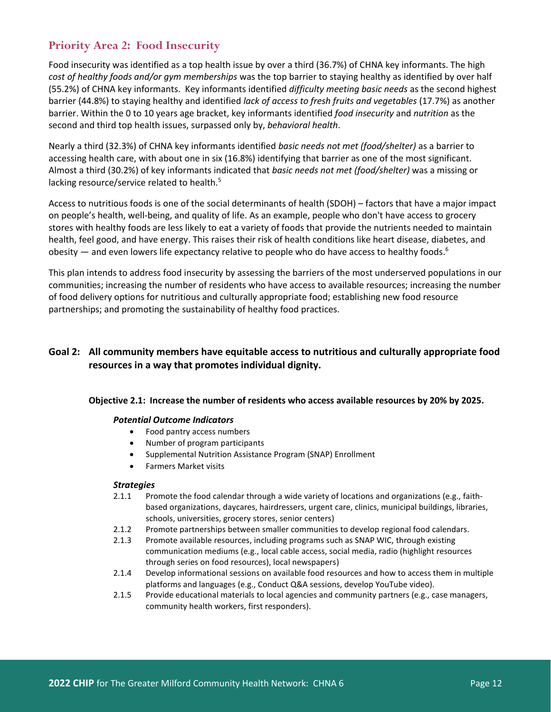# <span id="page-11-0"></span>**Priority Area 2: Food Insecurity**

Food insecurity was identified as a top health issue by over a third (36.7%) of CHNA key informants. The high *cost of healthy foods and/or gym memberships* was the top barrier to staying healthy as identified by over half (55.2%) of CHNA key informants. Key informants identified *difficulty meeting basic needs* as the second highest barrier (44.8%) to staying healthy and identified *lack of access to fresh fruits and vegetables* (17.7%) as another barrier. Within the 0 to 10 years age bracket, key informants identified *food insecurity* and *nutrition* as the second and third top health issues, surpassed only by, *behavioral health*.

Nearly a third (32.3%) of CHNA key informants identified *basic needs not met (food/shelter)* as a barrier to accessing health care, with about one in six (16.8%) identifying that barrier as one of the most significant. Almost a third (30.2%) of key informants indicated that *basic needs not met (food/shelter)* was a missing or lacking resource/service related to health.<sup>5</sup>

Access to nutritious foods is one of the social determinants of health (SDOH) – factors that have a major impact on people's health, well-being, and quality of life. As an example, people who don't have access to grocery stores with healthy foods are less likely to eat a variety of foods that provide the nutrients needed to maintain health, feel good, and have energy. This raises their risk of health conditions like heart disease, diabetes, and obesity  $-$  and even lowers life expectancy relative to people who do have access to healthy foods.<sup>6</sup>

This plan intends to address food insecurity by assessing the barriers of the most underserved populations in our communities; increasing the number of residents who have access to available resources; increasing the number of food delivery options for nutritious and culturally appropriate food; establishing new food resource partnerships; and promoting the sustainability of healthy food practices.

### **Goal 2: All community members have equitable access to nutritious and culturally appropriate food resources in a way that promotes individual dignity.**

#### **Objective 2.1: Increase the number of residents who access available resources by 20% by 2025.**

#### *Potential Outcome Indicators*

- Food pantry access numbers
- Number of program participants
- Supplemental Nutrition Assistance Program (SNAP) Enrollment
- Farmers Market visits

- 2.1.1 Promote the food calendar through a wide variety of locations and organizations (e.g., faithbased organizations, daycares, hairdressers, urgent care, clinics, municipal buildings, libraries, schools, universities, grocery stores, senior centers)
- 2.1.2 Promote partnerships between smaller communities to develop regional food calendars.
- 2.1.3 Promote available resources, including programs such as SNAP WIC, through existing communication mediums (e.g., local cable access, social media, radio (highlight resources through series on food resources), local newspapers)
- 2.1.4 Develop informational sessions on available food resources and how to access them in multiple platforms and languages (e.g., Conduct Q&A sessions, develop YouTube video).
- 2.1.5 Provide educational materials to local agencies and community partners (e.g., case managers, community health workers, first responders).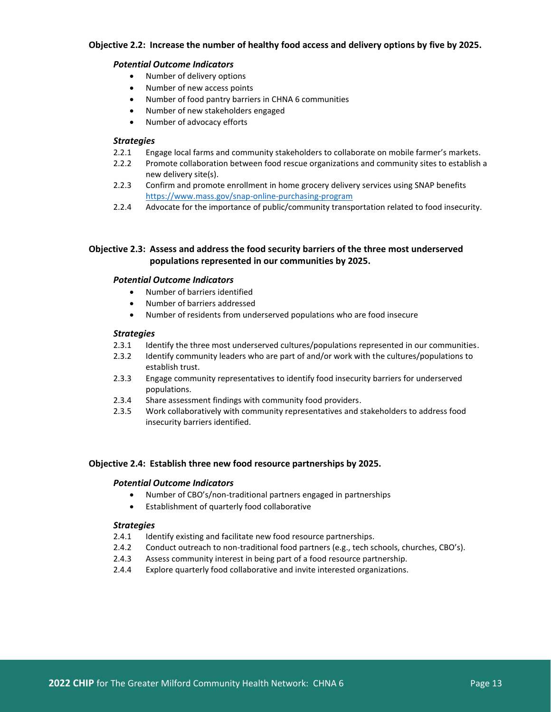#### **Objective 2.2: Increase the number of healthy food access and delivery options by five by 2025.**

#### *Potential Outcome Indicators*

- Number of delivery options
- Number of new access points
- Number of food pantry barriers in CHNA 6 communities
- Number of new stakeholders engaged
- Number of advocacy efforts

#### *Strategies*

- 2.2.1 Engage local farms and community stakeholders to collaborate on mobile farmer's markets.
- 2.2.2 Promote collaboration between food rescue organizations and community sites to establish a new delivery site(s).
- 2.2.3 Confirm and promote enrollment in home grocery delivery services using SNAP benefits <https://www.mass.gov/snap-online-purchasing-program>
- 2.2.4 Advocate for the importance of public/community transportation related to food insecurity.

#### **Objective 2.3: Assess and address the food security barriers of the three most underserved populations represented in our communities by 2025.**

#### *Potential Outcome Indicators*

- Number of barriers identified
- Number of barriers addressed
- Number of residents from underserved populations who are food insecure

#### *Strategies*

- 2.3.1 Identify the three most underserved cultures/populations represented in our communities.
- 2.3.2 Identify community leaders who are part of and/or work with the cultures/populations to establish trust.
- 2.3.3 Engage community representatives to identify food insecurity barriers for underserved populations.
- 2.3.4 Share assessment findings with community food providers.
- 2.3.5 Work collaboratively with community representatives and stakeholders to address food insecurity barriers identified.

#### **Objective 2.4: Establish three new food resource partnerships by 2025.**

#### *Potential Outcome Indicators*

- Number of CBO's/non-traditional partners engaged in partnerships
- Establishment of quarterly food collaborative

- 2.4.1 Identify existing and facilitate new food resource partnerships.
- 2.4.2 Conduct outreach to non-traditional food partners (e.g., tech schools, churches, CBO's).
- 2.4.3 Assess community interest in being part of a food resource partnership.
- 2.4.4 Explore quarterly food collaborative and invite interested organizations.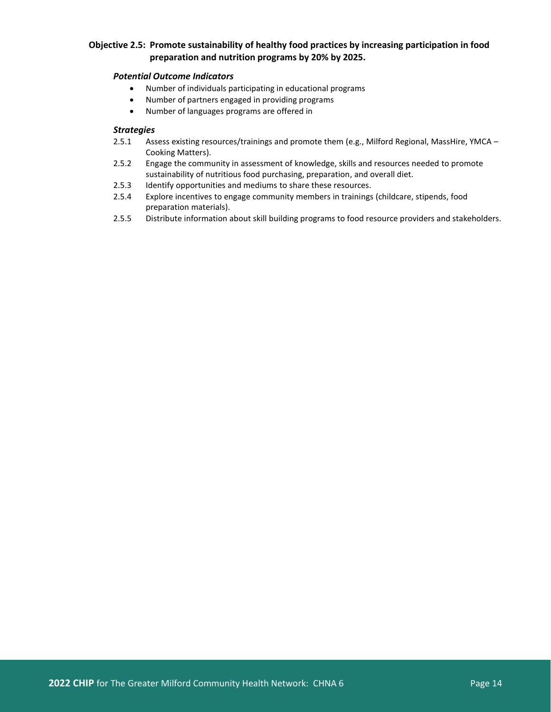#### **Objective 2.5: Promote sustainability of healthy food practices by increasing participation in food preparation and nutrition programs by 20% by 2025.**

#### *Potential Outcome Indicators*

- Number of individuals participating in educational programs
- Number of partners engaged in providing programs
- Number of languages programs are offered in

- 2.5.1 Assess existing resources/trainings and promote them (e.g., Milford Regional, MassHire, YMCA Cooking Matters).
- 2.5.2 Engage the community in assessment of knowledge, skills and resources needed to promote sustainability of nutritious food purchasing, preparation, and overall diet.
- 2.5.3 Identify opportunities and mediums to share these resources.
- 2.5.4 Explore incentives to engage community members in trainings (childcare, stipends, food preparation materials).
- 2.5.5 Distribute information about skill building programs to food resource providers and stakeholders.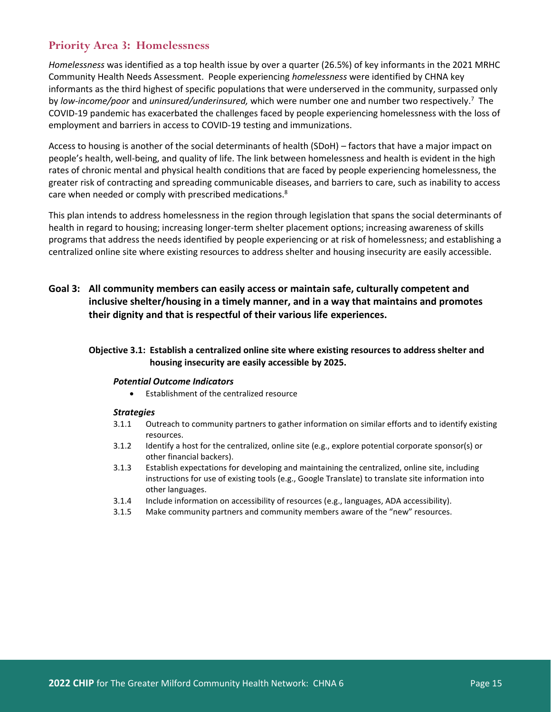### <span id="page-14-0"></span>**Priority Area 3: Homelessness**

*Homelessness* was identified as a top health issue by over a quarter (26.5%) of key informants in the 2021 MRHC Community Health Needs Assessment. People experiencing *homelessness* were identified by CHNA key informants as the third highest of specific populations that were underserved in the community, surpassed only by *low-income/poor* and *uninsured/underinsured,* which were number one and number two respectively.<sup>7</sup> The COVID-19 pandemic has exacerbated the challenges faced by people experiencing homelessness with the loss of employment and barriers in access to COVID-19 testing and immunizations.

Access to housing is another of the social determinants of health (SDoH) – factors that have a major impact on people's health, well-being, and quality of life. The link between homelessness and health is evident in the high rates of chronic mental and physical health conditions that are faced by people experiencing homelessness, the greater risk of contracting and spreading communicable diseases, and barriers to care, such as inability to access care when needed or comply with prescribed medications.<sup>8</sup>

This plan intends to address homelessness in the region through legislation that spans the social determinants of health in regard to housing; increasing longer-term shelter placement options; increasing awareness of skills programs that address the needs identified by people experiencing or at risk of homelessness; and establishing a centralized online site where existing resources to address shelter and housing insecurity are easily accessible.

### **Goal 3: All community members can easily access or maintain safe, culturally competent and inclusive shelter/housing in a timely manner, and in a way that maintains and promotes their dignity and that is respectful of their various life experiences.**

#### **Objective 3.1: Establish a centralized online site where existing resources to address shelter and housing insecurity are easily accessible by 2025.**

#### *Potential Outcome Indicators*

• Establishment of the centralized resource

- 3.1.1 Outreach to community partners to gather information on similar efforts and to identify existing resources.
- 3.1.2 Identify a host for the centralized, online site (e.g., explore potential corporate sponsor(s) or other financial backers).
- 3.1.3 Establish expectations for developing and maintaining the centralized, online site, including instructions for use of existing tools (e.g., Google Translate) to translate site information into other languages.
- 3.1.4 Include information on accessibility of resources (e.g., languages, ADA accessibility).
- 3.1.5 Make community partners and community members aware of the "new" resources.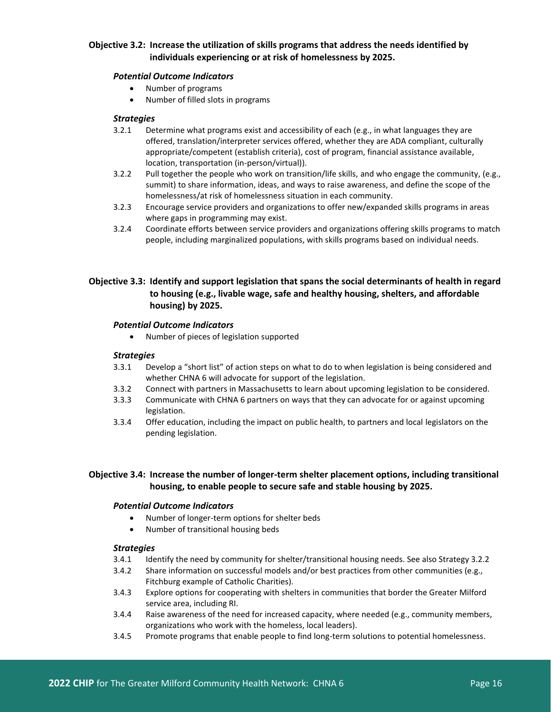#### **Objective 3.2: Increase the utilization of skills programs that address the needs identified by individuals experiencing or at risk of homelessness by 2025.**

#### *Potential Outcome Indicators*

- Number of programs
- Number of filled slots in programs

#### *Strategies*

- 3.2.1 Determine what programs exist and accessibility of each (e.g., in what languages they are offered, translation/interpreter services offered, whether they are ADA compliant, culturally appropriate/competent (establish criteria), cost of program, financial assistance available, location, transportation (in-person/virtual)).
- 3.2.2 Pull together the people who work on transition/life skills, and who engage the community, (e.g., summit) to share information, ideas, and ways to raise awareness, and define the scope of the homelessness/at risk of homelessness situation in each community.
- 3.2.3 Encourage service providers and organizations to offer new/expanded skills programs in areas where gaps in programming may exist.
- 3.2.4 Coordinate efforts between service providers and organizations offering skills programs to match people, including marginalized populations, with skills programs based on individual needs.

#### **Objective 3.3: Identify and support legislation that spans the social determinants of health in regard to housing (e.g., livable wage, safe and healthy housing, shelters, and affordable housing) by 2025.**

#### *Potential Outcome Indicators*

• Number of pieces of legislation supported

#### *Strategies*

- 3.3.1 Develop a "short list" of action steps on what to do to when legislation is being considered and whether CHNA 6 will advocate for support of the legislation.
- 3.3.2 Connect with partners in Massachusetts to learn about upcoming legislation to be considered.
- 3.3.3 Communicate with CHNA 6 partners on ways that they can advocate for or against upcoming legislation.
- 3.3.4 Offer education, including the impact on public health, to partners and local legislators on the pending legislation.

**Objective 3.4: Increase the number of longer-term shelter placement options, including transitional housing, to enable people to secure safe and stable housing by 2025.**

#### *Potential Outcome Indicators*

- Number of longer-term options for shelter beds
- Number of transitional housing beds

- 3.4.1 Identify the need by community for shelter/transitional housing needs. See also Strategy 3.2.2
- 3.4.2 Share information on successful models and/or best practices from other communities (e.g., Fitchburg example of Catholic Charities).
- 3.4.3 Explore options for cooperating with shelters in communities that border the Greater Milford service area, including RI.
- 3.4.4 Raise awareness of the need for increased capacity, where needed (e.g., community members, organizations who work with the homeless, local leaders).
- 3.4.5 Promote programs that enable people to find long-term solutions to potential homelessness.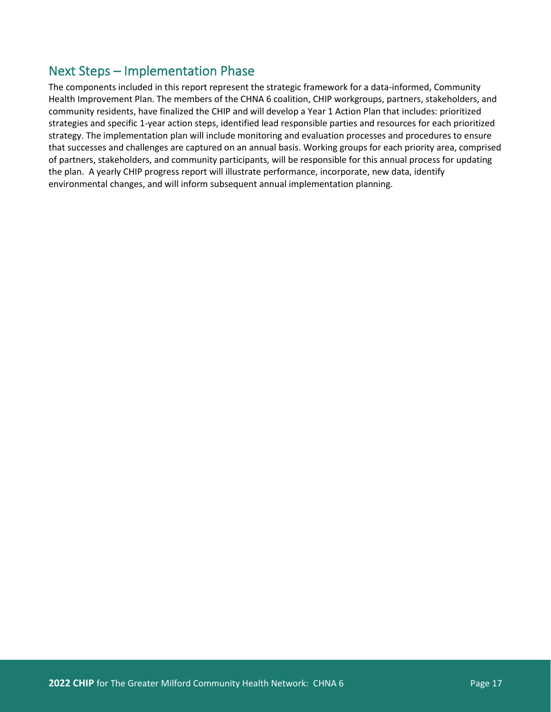# <span id="page-16-0"></span>Next Steps – Implementation Phase

The components included in this report represent the strategic framework for a data-informed, Community Health Improvement Plan. The members of the CHNA 6 coalition, CHIP workgroups, partners, stakeholders, and community residents, have finalized the CHIP and will develop a Year 1 Action Plan that includes: prioritized strategies and specific 1-year action steps, identified lead responsible parties and resources for each prioritized strategy. The implementation plan will include monitoring and evaluation processes and procedures to ensure that successes and challenges are captured on an annual basis. Working groups for each priority area, comprised of partners, stakeholders, and community participants, will be responsible for this annual process for updating the plan. A yearly CHIP progress report will illustrate performance, incorporate, new data, identify environmental changes, and will inform subsequent annual implementation planning.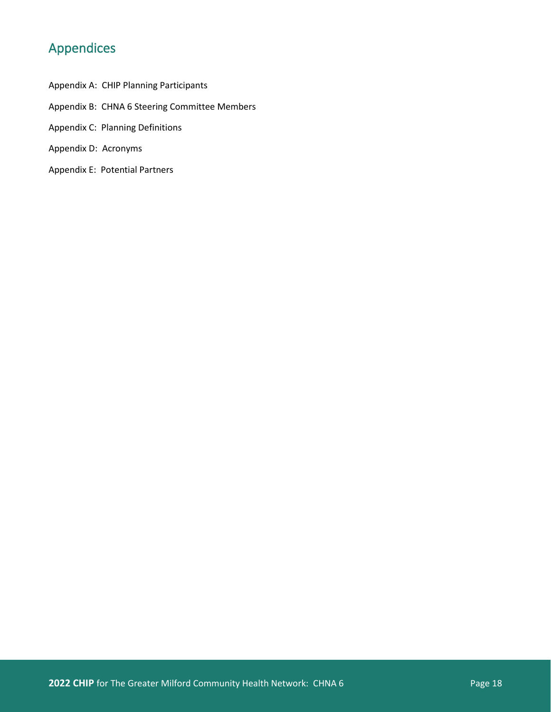# <span id="page-17-0"></span>Appendices

- Appendix A: CHIP Planning Participants
- Appendix B: CHNA 6 Steering Committee Members
- Appendix C: Planning Definitions
- Appendix D: Acronyms
- Appendix E: Potential Partners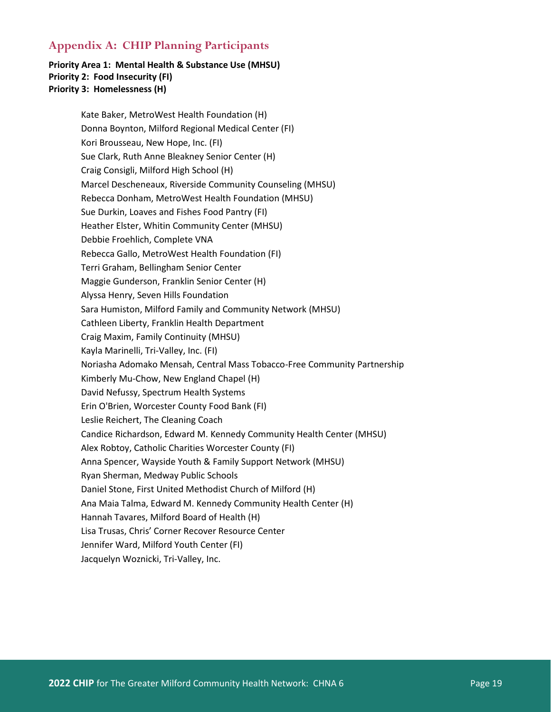# <span id="page-18-0"></span>**Appendix A: CHIP Planning Participants**

### **Priority Area 1: Mental Health & Substance Use (MHSU) Priority 2: Food Insecurity (FI) Priority 3: Homelessness (H)**

Kate Baker, MetroWest Health Foundation (H) Donna Boynton, Milford Regional Medical Center (FI) Kori Brousseau, New Hope, Inc. (FI) Sue Clark, Ruth Anne Bleakney Senior Center (H) Craig Consigli, Milford High School (H) Marcel Descheneaux, Riverside Community Counseling (MHSU) Rebecca Donham, MetroWest Health Foundation (MHSU) Sue Durkin, Loaves and Fishes Food Pantry (FI) Heather Elster, Whitin Community Center (MHSU) Debbie Froehlich, Complete VNA Rebecca Gallo, MetroWest Health Foundation (FI) Terri Graham, Bellingham Senior Center Maggie Gunderson, Franklin Senior Center (H) Alyssa Henry, Seven Hills Foundation Sara Humiston, Milford Family and Community Network (MHSU) Cathleen Liberty, Franklin Health Department Craig Maxim, Family Continuity (MHSU) Kayla Marinelli, Tri-Valley, Inc. (FI) Noriasha Adomako Mensah, Central Mass Tobacco-Free Community Partnership Kimberly Mu-Chow, New England Chapel (H) David Nefussy, Spectrum Health Systems Erin O'Brien, Worcester County Food Bank (FI) Leslie Reichert, The Cleaning Coach Candice Richardson, Edward M. Kennedy Community Health Center (MHSU) Alex Robtoy, Catholic Charities Worcester County (FI) Anna Spencer, Wayside Youth & Family Support Network (MHSU) Ryan Sherman, Medway Public Schools Daniel Stone, First United Methodist Church of Milford (H) Ana Maia Talma, Edward M. Kennedy Community Health Center (H) Hannah Tavares, Milford Board of Health (H) Lisa Trusas, Chris' Corner Recover Resource Center Jennifer Ward, Milford Youth Center (FI) Jacquelyn Woznicki, Tri-Valley, Inc.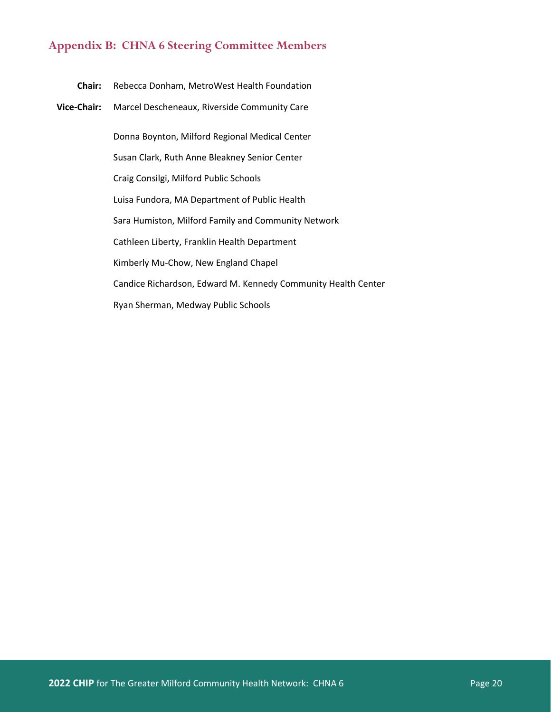### <span id="page-19-0"></span>**Appendix B: CHNA 6 Steering Committee Members**

**Vice-Chair:** Marcel Descheneaux, Riverside Community Care

Donna Boynton, Milford Regional Medical Center Susan Clark, Ruth Anne Bleakney Senior Center Craig Consilgi, Milford Public Schools Luisa Fundora, MA Department of Public Health Sara Humiston, Milford Family and Community Network Cathleen Liberty, Franklin Health Department Kimberly Mu-Chow, New England Chapel Candice Richardson, Edward M. Kennedy Community Health Center Ryan Sherman, Medway Public Schools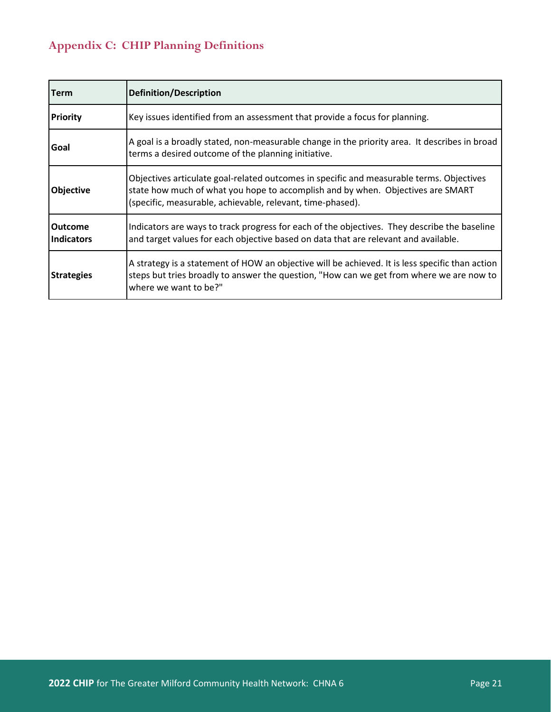# <span id="page-20-0"></span>**Appendix C: CHIP Planning Definitions**

| <b>Term</b>                         | <b>Definition/Description</b>                                                                                                                                                                                                             |
|-------------------------------------|-------------------------------------------------------------------------------------------------------------------------------------------------------------------------------------------------------------------------------------------|
| <b>Priority</b>                     | Key issues identified from an assessment that provide a focus for planning.                                                                                                                                                               |
| Goal                                | A goal is a broadly stated, non-measurable change in the priority area. It describes in broad<br>terms a desired outcome of the planning initiative.                                                                                      |
| <b>Objective</b>                    | Objectives articulate goal-related outcomes in specific and measurable terms. Objectives<br>state how much of what you hope to accomplish and by when. Objectives are SMART<br>(specific, measurable, achievable, relevant, time-phased). |
| <b>Outcome</b><br><b>Indicators</b> | Indicators are ways to track progress for each of the objectives. They describe the baseline<br>and target values for each objective based on data that are relevant and available.                                                       |
| <b>Strategies</b>                   | A strategy is a statement of HOW an objective will be achieved. It is less specific than action<br>steps but tries broadly to answer the question, "How can we get from where we are now to<br>where we want to be?"                      |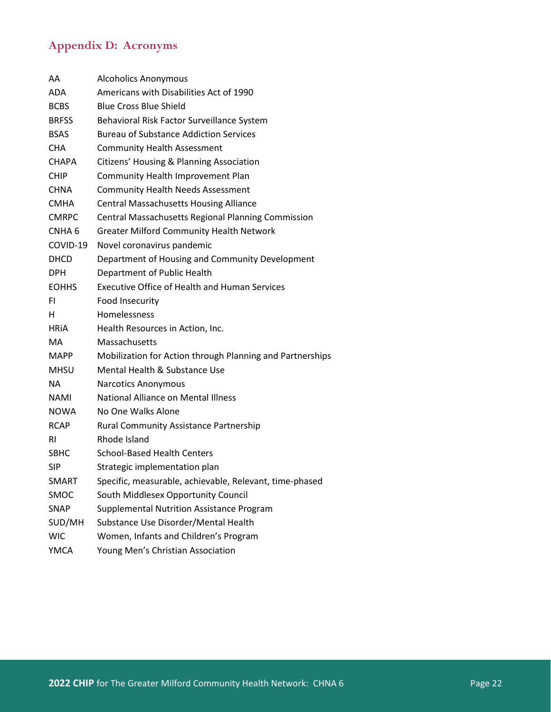# <span id="page-21-0"></span>**Appendix D: Acronyms**

| AA                | <b>Alcoholics Anonymous</b>                               |
|-------------------|-----------------------------------------------------------|
| ADA               | Americans with Disabilities Act of 1990                   |
| <b>BCBS</b>       | <b>Blue Cross Blue Shield</b>                             |
| <b>BRFSS</b>      | Behavioral Risk Factor Surveillance System                |
| <b>BSAS</b>       | <b>Bureau of Substance Addiction Services</b>             |
| <b>CHA</b>        | <b>Community Health Assessment</b>                        |
| <b>CHAPA</b>      | Citizens' Housing & Planning Association                  |
| <b>CHIP</b>       | Community Health Improvement Plan                         |
| CHNA.             | <b>Community Health Needs Assessment</b>                  |
| <b>CMHA</b>       | <b>Central Massachusetts Housing Alliance</b>             |
| <b>CMRPC</b>      | <b>Central Massachusetts Regional Planning Commission</b> |
| CNHA <sub>6</sub> | <b>Greater Milford Community Health Network</b>           |
| COVID-19          | Novel coronavirus pandemic                                |
| <b>DHCD</b>       | Department of Housing and Community Development           |
| <b>DPH</b>        | Department of Public Health                               |
| <b>EOHHS</b>      | <b>Executive Office of Health and Human Services</b>      |
| FI.               | Food Insecurity                                           |
| н                 | Homelessness                                              |
| <b>HRIA</b>       | Health Resources in Action, Inc.                          |
| MA                | Massachusetts                                             |
| <b>MAPP</b>       | Mobilization for Action through Planning and Partnerships |
| <b>MHSU</b>       | Mental Health & Substance Use                             |
| <b>NA</b>         | <b>Narcotics Anonymous</b>                                |
| NAMI              | <b>National Alliance on Mental Illness</b>                |
| <b>NOWA</b>       | No One Walks Alone                                        |
| <b>RCAP</b>       | <b>Rural Community Assistance Partnership</b>             |
| RI.               | Rhode Island                                              |
| <b>SBHC</b>       | <b>School-Based Health Centers</b>                        |
| SIP               | Strategic implementation plan                             |
| <b>SMART</b>      | Specific, measurable, achievable, Relevant, time-phased   |
| SMOC              | South Middlesex Opportunity Council                       |
| <b>SNAP</b>       | Supplemental Nutrition Assistance Program                 |
| SUD/MH            | Substance Use Disorder/Mental Health                      |
| <b>WIC</b>        | Women, Infants and Children's Program                     |
| <b>YMCA</b>       | Young Men's Christian Association                         |
|                   |                                                           |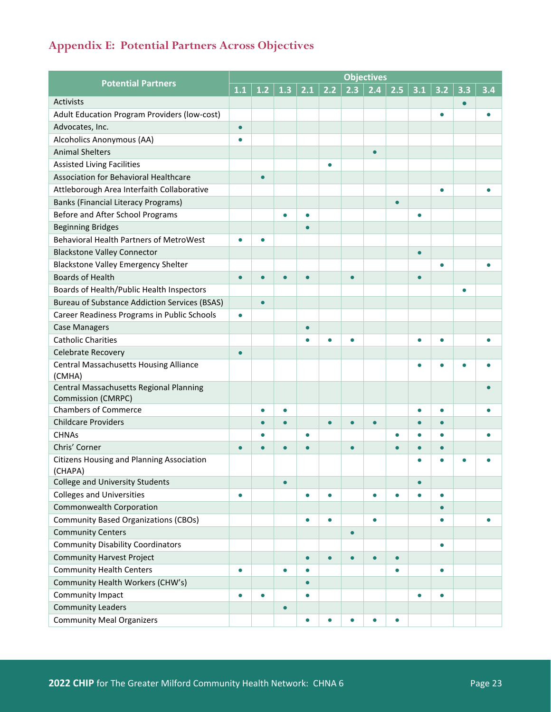# <span id="page-22-0"></span>**Appendix E: Potential Partners Across Objectives**

|                                                                      | <b>Objectives</b> |           |           |           |           |           |           |           |           |           |     |     |
|----------------------------------------------------------------------|-------------------|-----------|-----------|-----------|-----------|-----------|-----------|-----------|-----------|-----------|-----|-----|
| <b>Potential Partners</b>                                            | $1.1$             | 1.2       | 1.3       | 2.1       | 2.2       | 2.3       | 2.4       | 2.5       | 3.1       | 3.2       | 3.3 | 3.4 |
| <b>Activists</b>                                                     |                   |           |           |           |           |           |           |           |           |           |     |     |
| Adult Education Program Providers (low-cost)                         |                   |           |           |           |           |           |           |           |           | $\bullet$ |     |     |
| Advocates, Inc.                                                      | $\bullet$         |           |           |           |           |           |           |           |           |           |     |     |
| Alcoholics Anonymous (AA)                                            | Ċ                 |           |           |           |           |           |           |           |           |           |     |     |
| <b>Animal Shelters</b>                                               |                   |           |           |           |           |           | $\bullet$ |           |           |           |     |     |
| <b>Assisted Living Facilities</b>                                    |                   |           |           |           | $\bullet$ |           |           |           |           |           |     |     |
| Association for Behavioral Healthcare                                |                   |           |           |           |           |           |           |           |           |           |     |     |
| Attleborough Area Interfaith Collaborative                           |                   |           |           |           |           |           |           |           |           |           |     |     |
| <b>Banks (Financial Literacy Programs)</b>                           |                   |           |           |           |           |           |           | $\bullet$ |           |           |     |     |
| Before and After School Programs                                     |                   |           |           |           |           |           |           |           |           |           |     |     |
| <b>Beginning Bridges</b>                                             |                   |           |           |           |           |           |           |           |           |           |     |     |
| <b>Behavioral Health Partners of MetroWest</b>                       | Ō                 | $\bullet$ |           |           |           |           |           |           |           |           |     |     |
| <b>Blackstone Valley Connector</b>                                   |                   |           |           |           |           |           |           |           | $\bullet$ |           |     |     |
| <b>Blackstone Valley Emergency Shelter</b>                           |                   |           |           |           |           |           |           |           |           |           |     |     |
| <b>Boards of Health</b>                                              | $\bullet$         |           |           |           |           | $\bullet$ |           |           | $\bullet$ |           |     |     |
| Boards of Health/Public Health Inspectors                            |                   |           |           |           |           |           |           |           |           |           |     |     |
| <b>Bureau of Substance Addiction Services (BSAS)</b>                 |                   | $\bullet$ |           |           |           |           |           |           |           |           |     |     |
| Career Readiness Programs in Public Schools                          | $\bullet$         |           |           |           |           |           |           |           |           |           |     |     |
| <b>Case Managers</b>                                                 |                   |           |           |           |           |           |           |           |           |           |     |     |
| <b>Catholic Charities</b>                                            |                   |           |           |           |           | ٠         |           |           | ٠         |           |     |     |
| Celebrate Recovery                                                   | $\bullet$         |           |           |           |           |           |           |           |           |           |     |     |
| <b>Central Massachusetts Housing Alliance</b>                        |                   |           |           |           |           |           |           |           |           |           |     |     |
| (CMHA)                                                               |                   |           |           |           |           |           |           |           |           |           |     |     |
| Central Massachusetts Regional Planning<br><b>Commission (CMRPC)</b> |                   |           |           |           |           |           |           |           |           |           |     |     |
| <b>Chambers of Commerce</b>                                          |                   | $\bullet$ | $\bullet$ |           |           |           |           |           | $\bullet$ |           |     |     |
| <b>Childcare Providers</b>                                           |                   |           | $\bullet$ |           | $\bullet$ | $\bullet$ | $\bullet$ |           | $\bullet$ |           |     |     |
| <b>CHNAs</b>                                                         |                   | O         |           |           |           |           |           | O         | $\bullet$ |           |     |     |
| Chris' Corner                                                        | Ċ                 |           |           |           |           |           |           | Ċ         |           |           |     |     |
| Citizens Housing and Planning Association<br>(CHAPA)                 |                   |           |           |           |           |           |           |           |           |           |     |     |
| <b>College and University Students</b>                               |                   |           | $\bullet$ |           |           |           |           |           | $\bullet$ |           |     |     |
| <b>Colleges and Universities</b>                                     | $\bullet$         |           |           |           | $\bullet$ |           |           |           |           |           |     |     |
| Commonwealth Corporation                                             |                   |           |           |           |           |           |           |           |           | $\bullet$ |     |     |
| <b>Community Based Organizations (CBOs)</b>                          |                   |           |           | $\bullet$ | $\bullet$ |           | $\bullet$ |           |           | $\bullet$ |     |     |
| <b>Community Centers</b>                                             |                   |           |           |           |           | $\bullet$ |           |           |           |           |     |     |
| <b>Community Disability Coordinators</b>                             |                   |           |           |           |           |           |           |           |           | $\bullet$ |     |     |
| <b>Community Harvest Project</b>                                     |                   |           |           | $\bullet$ | $\bullet$ | $\bullet$ | $\bullet$ | $\bullet$ |           |           |     |     |
| <b>Community Health Centers</b>                                      | $\bullet$         |           | $\bullet$ | $\bullet$ |           |           |           | $\bullet$ |           | $\bullet$ |     |     |
| Community Health Workers (CHW's)                                     |                   |           |           | $\bullet$ |           |           |           |           |           |           |     |     |
| Community Impact                                                     | $\bullet$         | $\bullet$ |           | $\bullet$ |           |           |           |           | $\bullet$ | $\bullet$ |     |     |
| <b>Community Leaders</b>                                             |                   |           | $\bullet$ |           |           |           |           |           |           |           |     |     |
| <b>Community Meal Organizers</b>                                     |                   |           |           | $\bullet$ | $\bullet$ | $\bullet$ | $\bullet$ | $\bullet$ |           |           |     |     |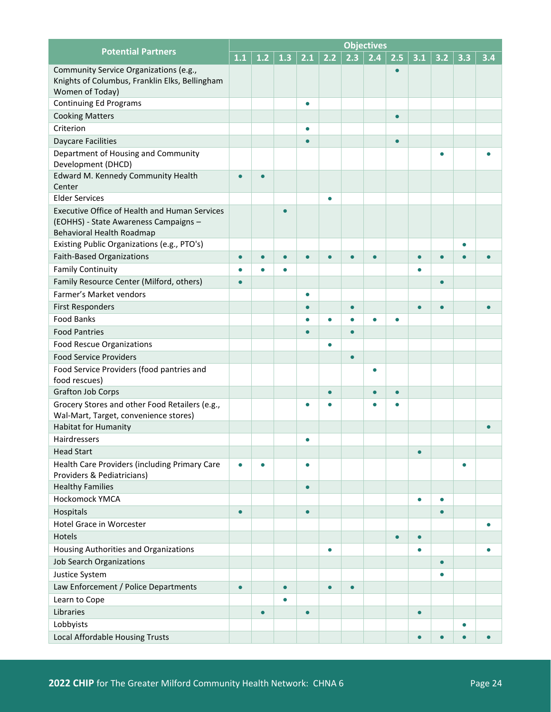|                                                                                                                     |           | <b>Objectives</b> |           |           |           |           |     |           |           |           |           |           |
|---------------------------------------------------------------------------------------------------------------------|-----------|-------------------|-----------|-----------|-----------|-----------|-----|-----------|-----------|-----------|-----------|-----------|
| <b>Potential Partners</b>                                                                                           | 1.1       | 1.2               | 1.3       | 2.1       | 2.2       | 2.3       | 2.4 | 2.5       | 3.1       | 3.2       | 3.3       | 3.4       |
| Community Service Organizations (e.g.,<br>Knights of Columbus, Franklin Elks, Bellingham<br>Women of Today)         |           |                   |           |           |           |           |     |           |           |           |           |           |
| <b>Continuing Ed Programs</b>                                                                                       |           |                   |           | C         |           |           |     |           |           |           |           |           |
| <b>Cooking Matters</b>                                                                                              |           |                   |           |           |           |           |     | $\bullet$ |           |           |           |           |
| Criterion                                                                                                           |           |                   |           | $\bullet$ |           |           |     |           |           |           |           |           |
| <b>Daycare Facilities</b>                                                                                           |           |                   |           |           |           |           |     | $\bullet$ |           |           |           |           |
| Department of Housing and Community<br>Development (DHCD)                                                           |           |                   |           |           |           |           |     |           |           |           |           |           |
| Edward M. Kennedy Community Health<br>Center                                                                        | ٠         |                   |           |           |           |           |     |           |           |           |           |           |
| <b>Elder Services</b>                                                                                               |           |                   |           |           | $\bullet$ |           |     |           |           |           |           |           |
| Executive Office of Health and Human Services<br>(EOHHS) - State Awareness Campaigns -<br>Behavioral Health Roadmap |           |                   |           |           |           |           |     |           |           |           |           |           |
| Existing Public Organizations (e.g., PTO's)                                                                         |           |                   |           |           |           |           |     |           |           |           |           |           |
| <b>Faith-Based Organizations</b>                                                                                    | $\bullet$ | $\bullet$         |           | г         | ٠         | ė         |     |           | $\bullet$ |           |           |           |
| <b>Family Continuity</b>                                                                                            | $\bullet$ |                   |           |           |           |           |     |           | $\bullet$ |           |           |           |
| Family Resource Center (Milford, others)                                                                            |           |                   |           |           |           |           |     |           |           |           |           |           |
| Farmer's Market vendors                                                                                             |           |                   |           | $\bullet$ |           |           |     |           |           |           |           |           |
| <b>First Responders</b>                                                                                             |           |                   |           | c         |           | $\bullet$ |     |           | ٠         |           |           |           |
| <b>Food Banks</b>                                                                                                   |           |                   |           |           |           |           |     |           |           |           |           |           |
| <b>Food Pantries</b>                                                                                                |           |                   |           | г         |           | ō         |     |           |           |           |           |           |
| <b>Food Rescue Organizations</b>                                                                                    |           |                   |           |           | $\bullet$ |           |     |           |           |           |           |           |
| <b>Food Service Providers</b>                                                                                       |           |                   |           |           |           |           |     |           |           |           |           |           |
| Food Service Providers (food pantries and<br>food rescues)                                                          |           |                   |           |           |           |           |     |           |           |           |           |           |
| <b>Grafton Job Corps</b>                                                                                            |           |                   |           |           | $\bullet$ |           | ∙   | $\bullet$ |           |           |           |           |
| Grocery Stores and other Food Retailers (e.g.,<br>Wal-Mart, Target, convenience stores)                             |           |                   |           | О         |           |           |     |           |           |           |           |           |
| <b>Habitat for Humanity</b>                                                                                         |           |                   |           |           |           |           |     |           |           |           |           |           |
| Hairdressers                                                                                                        |           |                   |           |           |           |           |     |           |           |           |           |           |
| <b>Head Start</b>                                                                                                   |           |                   |           |           |           |           |     |           |           |           |           |           |
| Health Care Providers (including Primary Care<br>Providers & Pediatricians)                                         | $\bullet$ | $\bullet$         |           | $\bullet$ |           |           |     |           |           |           | $\bullet$ |           |
| <b>Healthy Families</b>                                                                                             |           |                   |           | $\bullet$ |           |           |     |           |           |           |           |           |
| Hockomock YMCA                                                                                                      |           |                   |           |           |           |           |     |           | $\bullet$ |           |           |           |
| Hospitals                                                                                                           | $\bullet$ |                   |           | $\bullet$ |           |           |     |           |           | $\bullet$ |           |           |
| Hotel Grace in Worcester                                                                                            |           |                   |           |           |           |           |     |           |           |           |           |           |
| Hotels                                                                                                              |           |                   |           |           |           |           |     | $\bullet$ | $\bullet$ |           |           |           |
| Housing Authorities and Organizations                                                                               |           |                   |           |           | $\bullet$ |           |     |           | $\bullet$ |           |           | $\bullet$ |
| Job Search Organizations                                                                                            |           |                   |           |           |           |           |     |           |           |           |           |           |
| Justice System                                                                                                      |           |                   |           |           |           |           |     |           |           |           |           |           |
| Law Enforcement / Police Departments                                                                                | $\bullet$ |                   | $\bullet$ |           | $\bullet$ | $\bullet$ |     |           |           |           |           |           |
| Learn to Cope                                                                                                       |           |                   |           |           |           |           |     |           |           |           |           |           |
| Libraries                                                                                                           |           | $\bullet$         |           | $\bullet$ |           |           |     |           | $\bullet$ |           |           |           |
| Lobbyists                                                                                                           |           |                   |           |           |           |           |     |           |           |           | $\bullet$ |           |
| Local Affordable Housing Trusts                                                                                     |           |                   |           |           |           |           |     |           | $\bullet$ |           | ō         |           |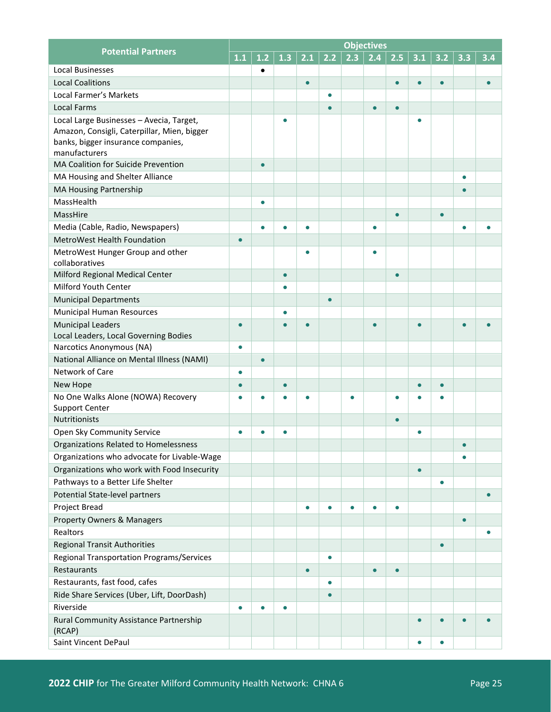| <b>Potential Partners</b>                                                                                                                      | <b>Objectives</b> |           |           |           |           |           |     |           |           |           |           |     |
|------------------------------------------------------------------------------------------------------------------------------------------------|-------------------|-----------|-----------|-----------|-----------|-----------|-----|-----------|-----------|-----------|-----------|-----|
|                                                                                                                                                | 1.1               | $1.2$     | 1.3       | 2.1       | 2.2       | 2.3       | 2.4 | 2.5       | 3.1       | 3.2       | 3.3       | 3.4 |
| <b>Local Businesses</b>                                                                                                                        |                   | $\bullet$ |           |           |           |           |     |           |           |           |           |     |
| <b>Local Coalitions</b>                                                                                                                        |                   |           |           |           |           |           |     |           |           |           |           |     |
| <b>Local Farmer's Markets</b>                                                                                                                  |                   |           |           |           | $\bullet$ |           |     |           |           |           |           |     |
| <b>Local Farms</b>                                                                                                                             |                   |           |           |           | $\bullet$ |           |     | $\bullet$ |           |           |           |     |
| Local Large Businesses - Avecia, Target,<br>Amazon, Consigli, Caterpillar, Mien, bigger<br>banks, bigger insurance companies,<br>manufacturers |                   |           |           |           |           |           |     |           |           |           |           |     |
| MA Coalition for Suicide Prevention                                                                                                            |                   | $\bullet$ |           |           |           |           |     |           |           |           |           |     |
| MA Housing and Shelter Alliance                                                                                                                |                   |           |           |           |           |           |     |           |           |           | $\bullet$ |     |
| <b>MA Housing Partnership</b>                                                                                                                  |                   |           |           |           |           |           |     |           |           |           |           |     |
| MassHealth                                                                                                                                     |                   | $\bullet$ |           |           |           |           |     |           |           |           |           |     |
| MassHire                                                                                                                                       |                   |           |           |           |           |           |     | $\bullet$ |           | $\bullet$ |           |     |
| Media (Cable, Radio, Newspapers)                                                                                                               |                   | $\bullet$ |           |           |           |           |     |           |           |           |           |     |
| <b>MetroWest Health Foundation</b>                                                                                                             | $\bullet$         |           |           |           |           |           |     |           |           |           |           |     |
| MetroWest Hunger Group and other<br>collaboratives                                                                                             |                   |           |           | ٥         |           |           |     |           |           |           |           |     |
| Milford Regional Medical Center                                                                                                                |                   |           | $\bullet$ |           |           |           |     | $\bullet$ |           |           |           |     |
| Milford Youth Center                                                                                                                           |                   |           |           |           |           |           |     |           |           |           |           |     |
| <b>Municipal Departments</b>                                                                                                                   |                   |           |           |           | $\bullet$ |           |     |           |           |           |           |     |
| <b>Municipal Human Resources</b>                                                                                                               |                   |           |           |           |           |           |     |           |           |           |           |     |
| <b>Municipal Leaders</b>                                                                                                                       | Ċ                 |           |           |           |           |           |     |           |           |           |           |     |
| Local Leaders, Local Governing Bodies                                                                                                          |                   |           |           |           |           |           |     |           |           |           |           |     |
| Narcotics Anonymous (NA)                                                                                                                       | $\bullet$         |           |           |           |           |           |     |           |           |           |           |     |
| National Alliance on Mental Illness (NAMI)                                                                                                     |                   | $\bullet$ |           |           |           |           |     |           |           |           |           |     |
| Network of Care                                                                                                                                | $\bullet$         |           |           |           |           |           |     |           |           |           |           |     |
| New Hope                                                                                                                                       |                   |           |           |           |           |           |     |           |           |           |           |     |
| No One Walks Alone (NOWA) Recovery<br><b>Support Center</b>                                                                                    |                   |           |           |           |           |           |     |           |           |           |           |     |
| Nutritionists                                                                                                                                  |                   |           |           |           |           |           |     | $\bullet$ |           |           |           |     |
| Open Sky Community Service                                                                                                                     |                   |           |           |           |           |           |     |           |           |           |           |     |
| Organizations Related to Homelessness                                                                                                          |                   |           |           |           |           |           |     |           |           |           |           |     |
| Organizations who advocate for Livable-Wage                                                                                                    |                   |           |           |           |           |           |     |           |           |           |           |     |
| Organizations who work with Food Insecurity                                                                                                    |                   |           |           |           |           |           |     |           | $\bullet$ |           |           |     |
| Pathways to a Better Life Shelter                                                                                                              |                   |           |           |           |           |           |     |           |           | $\bullet$ |           |     |
| Potential State-level partners                                                                                                                 |                   |           |           |           |           |           |     |           |           |           |           | ä   |
| Project Bread                                                                                                                                  |                   |           |           | ۰         | $\bullet$ | $\bullet$ |     | $\bullet$ |           |           |           |     |
| <b>Property Owners &amp; Managers</b>                                                                                                          |                   |           |           |           |           |           |     |           |           |           | $\bullet$ |     |
| Realtors                                                                                                                                       |                   |           |           |           |           |           |     |           |           |           |           |     |
| <b>Regional Transit Authorities</b>                                                                                                            |                   |           |           |           |           |           |     |           |           | $\bullet$ |           |     |
| <b>Regional Transportation Programs/Services</b>                                                                                               |                   |           |           |           | $\bullet$ |           |     |           |           |           |           |     |
| Restaurants                                                                                                                                    |                   |           |           | $\bullet$ |           |           |     | $\bullet$ |           |           |           |     |
| Restaurants, fast food, cafes                                                                                                                  |                   |           |           |           | $\bullet$ |           |     |           |           |           |           |     |
| Ride Share Services (Uber, Lift, DoorDash)                                                                                                     |                   |           |           |           | $\bullet$ |           |     |           |           |           |           |     |
| Riverside                                                                                                                                      | $\bullet$         |           |           |           |           |           |     |           |           |           |           |     |
| Rural Community Assistance Partnership<br>(RCAP)                                                                                               |                   |           |           |           |           |           |     |           |           |           |           |     |
| Saint Vincent DePaul                                                                                                                           |                   |           |           |           |           |           |     |           | $\bullet$ |           |           |     |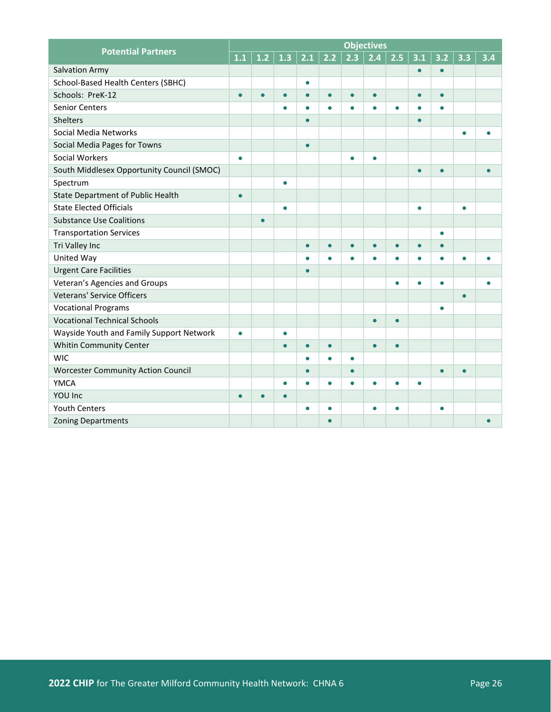| <b>Potential Partners</b>                  |           | <b>Objectives</b> |           |             |           |           |     |           |           |           |           |     |
|--------------------------------------------|-----------|-------------------|-----------|-------------|-----------|-----------|-----|-----------|-----------|-----------|-----------|-----|
|                                            | 1.1       | 1.2               |           | $1.3$   2.1 | 2.2       | 2.3       | 2.4 | 2.5       | 3.1       | 3.2       | 3.3       | 3.4 |
| <b>Salvation Army</b>                      |           |                   |           |             |           |           |     |           |           |           |           |     |
| School-Based Health Centers (SBHC)         |           |                   |           | $\bullet$   |           |           |     |           |           |           |           |     |
| Schools: PreK-12                           | Ċ         |                   |           |             | $\bullet$ | $\bullet$ |     |           | $\bullet$ |           |           |     |
| <b>Senior Centers</b>                      |           |                   |           |             | $\bullet$ | $\bullet$ |     | ۰         | $\bullet$ |           |           |     |
| <b>Shelters</b>                            |           |                   |           |             |           |           |     |           | $\bullet$ |           |           |     |
| Social Media Networks                      |           |                   |           |             |           |           |     |           |           |           |           |     |
| Social Media Pages for Towns               |           |                   |           | ٠           |           |           |     |           |           |           |           |     |
| <b>Social Workers</b>                      | $\bullet$ |                   |           |             |           | $\bullet$ |     |           |           |           |           |     |
| South Middlesex Opportunity Council (SMOC) |           |                   |           |             |           |           |     |           | $\bullet$ |           |           |     |
| Spectrum                                   |           |                   | $\bullet$ |             |           |           |     |           |           |           |           |     |
| <b>State Department of Public Health</b>   | ċ         |                   |           |             |           |           |     |           |           |           |           |     |
| <b>State Elected Officials</b>             |           |                   | $\bullet$ |             |           |           |     |           | $\bullet$ |           | $\bullet$ |     |
| <b>Substance Use Coalitions</b>            |           | $\bullet$         |           |             |           |           |     |           |           |           |           |     |
| <b>Transportation Services</b>             |           |                   |           |             |           |           |     |           |           | ٠         |           |     |
| Tri Valley Inc                             |           |                   |           | г           | $\bullet$ | $\bullet$ |     | $\bullet$ | $\bullet$ |           |           |     |
| United Way                                 |           |                   |           |             | $\bullet$ |           |     | $\bullet$ |           |           |           |     |
| <b>Urgent Care Facilities</b>              |           |                   |           |             |           |           |     |           |           |           |           |     |
| Veteran's Agencies and Groups              |           |                   |           |             |           |           |     |           |           |           |           |     |
| <b>Veterans' Service Officers</b>          |           |                   |           |             |           |           |     |           |           |           | $\bullet$ |     |
| <b>Vocational Programs</b>                 |           |                   |           |             |           |           |     |           |           | $\bullet$ |           |     |
| <b>Vocational Technical Schools</b>        |           |                   |           |             |           |           |     | $\bullet$ |           |           |           |     |
| Wayside Youth and Family Support Network   | $\bullet$ |                   | $\bullet$ |             |           |           |     |           |           |           |           |     |
| Whitin Community Center                    |           |                   |           |             | $\bullet$ |           |     | $\bullet$ |           |           |           |     |
| <b>WIC</b>                                 |           |                   |           | $\bullet$   | $\bullet$ | $\bullet$ |     |           |           |           |           |     |
| <b>Worcester Community Action Council</b>  |           |                   |           |             |           | $\bullet$ |     |           |           | $\bullet$ | ä         |     |
| <b>YMCA</b>                                |           |                   |           |             | $\bullet$ |           |     |           |           |           |           |     |
| YOU Inc                                    | $\bullet$ | $\bullet$         | $\bullet$ |             |           |           |     |           |           |           |           |     |
| <b>Youth Centers</b>                       |           |                   |           |             | $\bullet$ |           |     | $\bullet$ |           |           |           |     |
| <b>Zoning Departments</b>                  |           |                   |           |             |           |           |     |           |           |           |           |     |